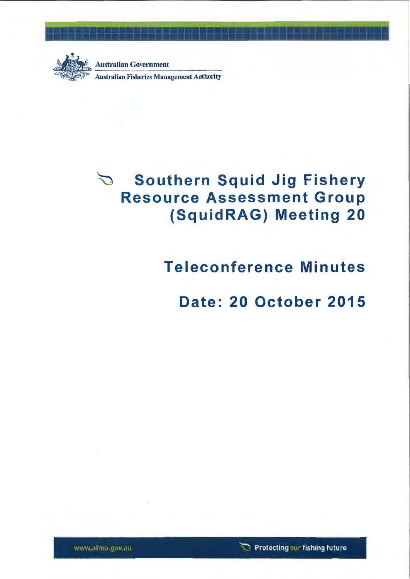

~~ Australian Government Australian Fisheries Management Authority

# **Southern Squid Jig Fishery**   $\sum$ **Resource Assessment Group (SquidRAG) Meeting 20**

# **Teleconference Minutes**

**Date: 20 October 2015**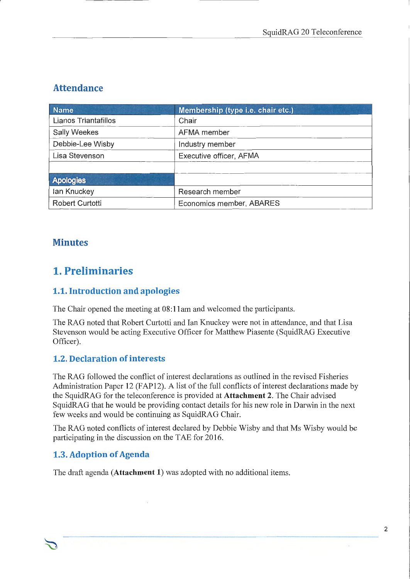# **Attendance**

| <b>Name</b>          | Membership (type i.e. chair etc.) |  |  |
|----------------------|-----------------------------------|--|--|
| Lianos Triantafillos | Chair                             |  |  |
| <b>Sally Weekes</b>  | AFMA member                       |  |  |
| Debbie-Lee Wisby     | Industry member                   |  |  |
| Lisa Stevenson       | Executive officer, AFMA           |  |  |
|                      |                                   |  |  |
| <b>Apologies</b>     |                                   |  |  |
| lan Knuckey          | Research member                   |  |  |
| Robert Curtotti      | Economics member, ABARES          |  |  |

# **Minutes**

# **1. Preliminaries**

### **1.1. Introduction and apologies**

The Chair opened the meeting at 08:11am and welcomed the participants.

The RAG noted that Robert Curtotti and Ian Knuckey were not in attendance, and that Lisa Stevenson would be acting Executive Officer for Matthew Piasente (SquidRAG Executive Officer).

## **1.2. Declaration of interests**

The RAG followed the conflict of interest declarations as outlined in the revised Fisheries Administration Paper 12 (FAP12). A list of the full conflicts of interest declarations made by the SquidRAG for the teleconference is provided at **Attachment** 2. The Chair advised SquidRAG that he would be providing contact details for his new role in Darwin in the next few weeks and would be continuing as SquidRAG Chair.

The RAG noted conflicts of interest declared by Debbie Wisby and that Ms Wisby would be participating in the discussion on the TAE for 2016.

## **1.3. Adoption of Agenda**

The draft agenda **(Attachment 1)** was adopted with no additional items.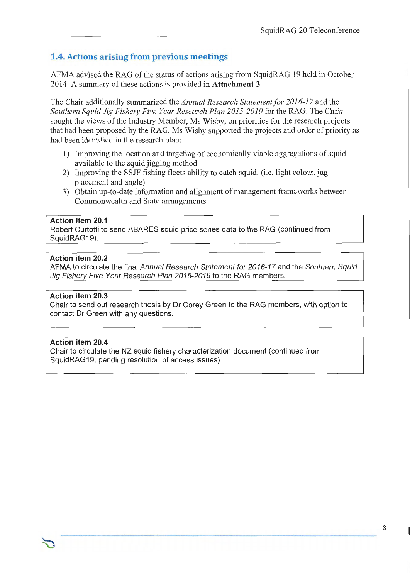#### **1.4. Actions arising from previous meetings**

AFMA advised the RAG of the status of actions arising from SquidRAG 19 held in October 2014. A summary ofthese actions is provided in **Attachment** 3.

The Chair additionally summarized the *Annual Research Statement for 2016-1 7* and the *Southern Squid Jig Fishery Five Year Research Plan 2015-2019* for the RAG. The Chair sought the views of the Industry Member, Ms Wisby, on priorities for the research projects that had been proposed by the RAG. Ms Wisby supported the projects and order of priority as had been identified in the research plan:

- 1) Improving the location and targeting of economically viable aggregations of squid available to the squid jigging method
- 2) Improving the SSJF fishing fleets ability to catch squid. (i.e. light colour, jag placement and angle)
- 3) Obtain up-to-date information and alignment of management frameworks between Commonwealth and State arrangements

#### **Action item 20.1**

Robert Curtotti to send ABARES squid price series data to the RAG (continued from SquidRAG19).

#### **Action item 20.2**

AFMA to circulate the final Annual Research Statement for 2016-17 and the Southern Squid Jig Fishery Five Year Research Plan 2015-2019 to the RAG members.

#### **Action item 20.3**

Chair to send out research thesis by Dr Corey Green to the RAG members, with option to contact Dr Green with any questions.

#### **Action item 20.4**

Chair to circulate the NZ squid fishery characterization document (continued from SquidRAG19, pending resolution of access issues).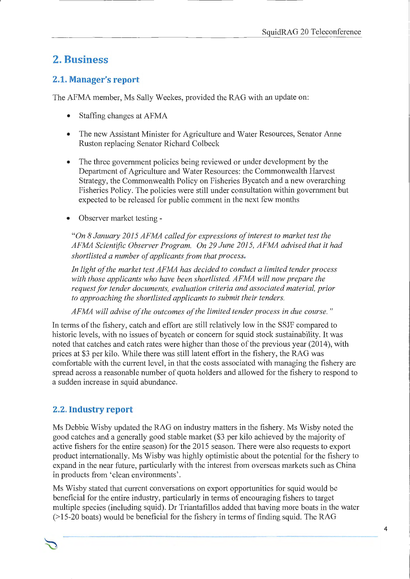# **2. Business**

### **2.1. Manager's report**

The AFMA member, Ms Sally Weekes, provided the RAG with an update on:

- Staffing changes at AFMA
- The new Assistant Minister for Agriculture and Water Resources, Senator Anne Ruston replacing Senator Richard Colbeck
- The three government policies being reviewed or under development by the Department of Agriculture and Water Resources: the Commonwealth Harvest Strategy, the Commonwealth Policy on Fisheries Bycatch and a new overarching Fisheries Policy. The policies were still under consultation within government but expected to be released for public comment in the next few months
- Observer market testing-

*"On 8 January 2015 AFMA called for expressions of interest to market test the AFMA Scientific Observer Program. On 29 June 2015, AFMA advised that it had short listed a number of applicants from that process.* 

*In light of the market test AFMA has decided to conduct a limited tender process with those applicants who have been shortlisted. AFMA will now prepare the request for tender documents, evaluation criteria and associated material, prior to approaching the shortlisted applicants to submit their tenders.* 

*AFMA will advise of the outcomes of the limited tender process in due course.* "

In terms of the fishery, catch and effort are still relatively low in the SSJF compared to historic levels, with no issues of bycatch or concern for squid stock sustainability. It was noted that catches and catch rates were higher than those of the previous year (2014), with prices at \$3 per kilo. While there was still latent effort in the fishery, the RAG was comfortable with the current level, in that the costs associated with managing the fishery are spread across a reasonable number of quota holders and allowed for the fishery to respond to a sudden increase in squid abundance.

## 2.2. **Industry report**

Ms Debbie Wisby updated the RAG on industry matters in the fishery. Ms Wisby noted the good catches and a generally good stable market (\$3 per kilo achieved by the majority of active fishers for the entire season) for the 2015 season. There were also requests to export product internationally. Ms Wisby was highly optimistic about the potential for the fishery to expand in the near future, particularly with the interest from overseas markets such as China in products from 'clean environments'.

Ms Wisby stated that current conversations on export opportunities for squid would be beneficial for the entire industry, particularly in terms of encouraging fishers to target multiple species (including squid). Dr Triantafillos added that having more boats in the water (> 15-20 boats) would be beneficial for the fishery in terms of finding squid. The RAG

4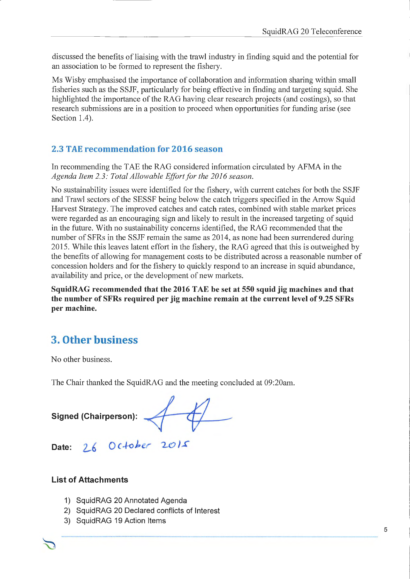discussed the benefits of liaising with the trawl industry in finding squid and the potential for an association to be formed to represent the fishery.

Ms Wisby emphasised the importance of collaboration and information sharing within small fisheries such as the SSJF, particularly for being effective in finding and targeting squid. She highlighted the importance of the RAG having clear research projects (and costings), so that research submissions are in a position to proceed when opportunities for funding arise (see Section 1.4).

### 2.3 TAE recommendation for 2016 season

In recommending the TAE the RAG considered information circulated by AFMA in the *Agenda Item 2. 3: Total Allowable Effort for the 2016 season.* 

No sustainability issues were identified for the fishery, with current catches for both the SSJF and Trawl sectors of the SESSF being below the catch triggers specified in the Arrow Squid Harvest Strategy. The improved catches and catch rates, combined with stable market prices were regarded as an encouraging sign and likely to result in the increased targeting of squid in the future. With no sustainability concerns identified, the RAG recommended that the number of SFRs in the SSJF remain the same as 2014, as none had been surrendered during 2015. While this leaves latent effort in the fishery, the RAG agreed that this is outweighed by the benefits of allowing for management costs to be distributed across a reasonable number of concession holders and for the fishery to quickly respond to an increase in squid abundance, availability and price, or the development of new markets.

SquidRAG recommended that the 2016 TAE be set at 550 squid jig machines and that the number of SFRs required per jig machine remain at the current level of 9.25 SFRs per machine.

# 3. Other business

No other business.

The Chair thanked the SquidRAG and the meeting concluded at 09:20am.

Signed (Chairperson):

Date:  $266$  October  $2015$ 

#### List of Attachments

- 1) Squid RAG 20 Annotated Agenda
- 2) SquidRAG 20 Declared conflicts of Interest
- 3) SquidRAG 19 Action Items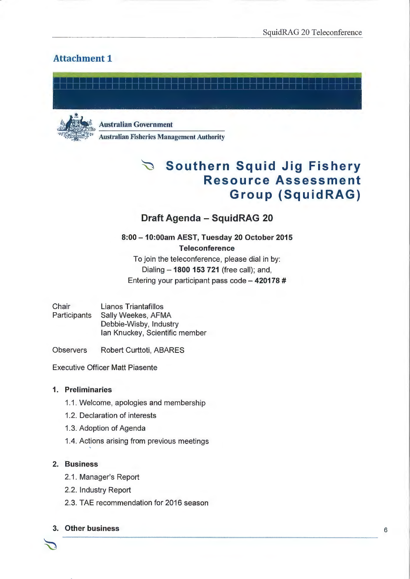SquidRAG 20 Teleconference

### **Attachment 1**





Australian Government

Australian Fisheries Management Authority

# ~ **Southern Squid Jig F is he ry Resource Assessment Group (SquidRAG)**

### **Draft Agenda - Squid RAG 20**

#### **8:00 -10:00am AEST, Tuesday 20 October 2015 Teleconference**  To join the teleconference, please dial in by:

Dialing - **1800 153 721** (free call); and, Entering your participant pass code - 420178 #

**Chair** Participants Lianos Triantafillos Sally Weekes, AFMA Debbie-Wisby, Industry lan Knuckey, Scientific member

**Observers** Robert Curttoti, ABARES

Executive Officer Matt Piasente

#### **1. Preliminaries**

- 1.1. Welcome, apologies and membership
- 1.2. Declaration of interests
- 1.3. Adoption of Agenda
- 1.4. Actions arising from previous meetings

#### **2. Business**

- 2.1. Manager's Report
- 2.2. Industry Report
- 2.3. TAE recommendation for 2016 season

#### **3. Other business** 6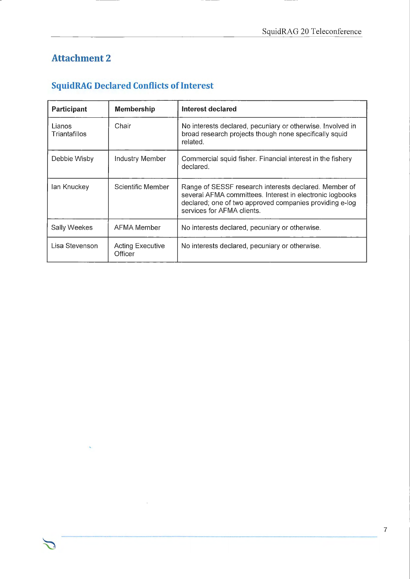# **Attachment 2**

# **SquidRAG Declared Conflicts of Interest**

| Participant             | <b>Membership</b>                  | Interest declared                                                                                                                                                                                          |  |
|-------------------------|------------------------------------|------------------------------------------------------------------------------------------------------------------------------------------------------------------------------------------------------------|--|
| Lianos<br>Triantafillos | Chair                              | No interests declared, pecuniary or otherwise. Involved in<br>broad research projects though none specifically squid<br>related.                                                                           |  |
| Debbie Wisby            | Industry Member                    | Commercial squid fisher. Financial interest in the fishery<br>declared.                                                                                                                                    |  |
| lan Knuckey             | Scientific Member                  | Range of SESSF research interests declared. Member of<br>several AFMA committees. Interest in electronic logbooks<br>declared; one of two approved companies providing e-log<br>services for AFMA clients. |  |
| Sally Weekes            | AFMA Member                        | No interests declared, pecuniary or otherwise.                                                                                                                                                             |  |
| Lisa Stevenson          | <b>Acting Executive</b><br>Officer | No interests declared, pecuniary or otherwise.                                                                                                                                                             |  |